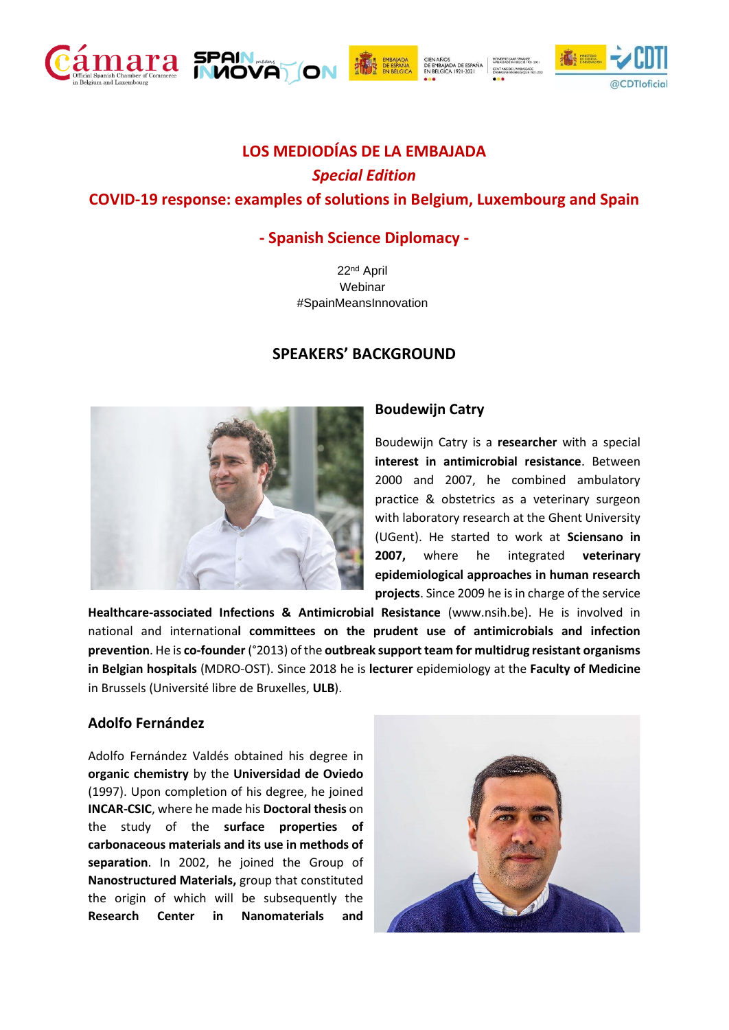



ON.

# **- Spanish Science Diplomacy -**

22nd April **Webinar** #SpainMeansInnovation

### **SPEAKERS' BACKGROUND**



## **Boudewijn Catry**

CIEN AÑOS<br>DE EMBAJADA DE ESPAÑA<br>EN BÉLGICA 1921-2021

Boudewijn Catry is a **researcher** with a special **interest in antimicrobial resistance**. Between 2000 and 2007, he combined ambulatory practice & obstetrics as a veterinary surgeon with laboratory research at the Ghent University (UGent). He started to work at **Sciensano in 2007,** where he integrated **veterinary epidemiological approaches in human research projects**. Since 2009 he is in charge of the service

**Healthcare-associated Infections & Antimicrobial Resistance** (www.nsih.be). He is involved in national and internationa**l committees on the prudent use of antimicrobials and infection prevention**. He is **co-founder** (°2013) of the **outbreak support team for multidrug resistant organisms in Belgian hospitals** (MDRO-OST). Since 2018 he is **lecturer** epidemiology at the **Faculty of Medicine**  in Brussels (Université libre de Bruxelles, **ULB**).

### **Adolfo Fernández**

Adolfo Fernández Valdés obtained his degree in **organic chemistry** by the **Universidad de Oviedo** (1997). Upon completion of his degree, he joined **INCAR-CSIC**, where he made his **Doctoral thesis** on the study of the **surface properties of carbonaceous materials and its use in methods of separation**. In 2002, he joined the Group of **Nanostructured Materials,** group that constituted the origin of which will be subsequently the **Research Center in Nanomaterials and** 



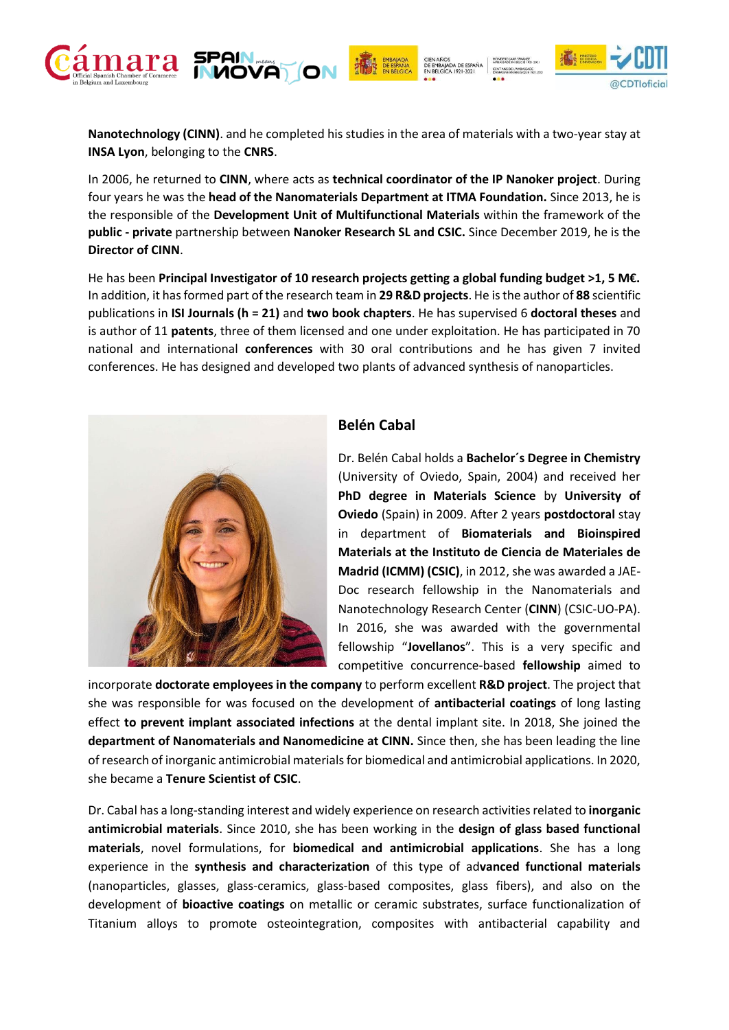

CIEN AÑOS<br>DE EMBAJADA DE ESPAÑA<br>EN BÉLGICA 1921-2021



**Nanotechnology (CINN)**. and he completed his studies in the area of materials with a two-year stay at **INSA Lyon**, belonging to the **CNRS**.

In 2006, he returned to **CINN**, where acts as **technical coordinator of the IP Nanoker project**. During four years he was the **head of the Nanomaterials Department at ITMA Foundation.** Since 2013, he is the responsible of the **Development Unit of Multifunctional Materials** within the framework of the **public - private** partnership between **Nanoker Research SL and CSIC.** Since December 2019, he is the **Director of CINN**.

He has been **Principal Investigator of 10 research projects getting a global funding budget >1, 5 M€.**  In addition, it has formed part of the research team in **29 R&D projects**. He is the author of **88** scientific publications in **ISI Journals (h = 21)** and **two book chapters**. He has supervised 6 **doctoral theses** and is author of 11 **patents**, three of them licensed and one under exploitation. He has participated in 70 national and international **conferences** with 30 oral contributions and he has given 7 invited conferences. He has designed and developed two plants of advanced synthesis of nanoparticles.



## **Belén Cabal**

Dr. Belén Cabal holds a **Bachelor´s Degree in Chemistry**  (University of Oviedo, Spain, 2004) and received her **PhD degree in Materials Science** by **University of Oviedo** (Spain) in 2009. After 2 years **postdoctoral** stay in department of **Biomaterials and Bioinspired Materials at the Instituto de Ciencia de Materiales de Madrid (ICMM) (CSIC)**, in 2012, she was awarded a JAE-Doc research fellowship in the Nanomaterials and Nanotechnology Research Center (**CINN**) (CSIC-UO-PA). In 2016, she was awarded with the governmental fellowship "**Jovellanos**". This is a very specific and competitive concurrence-based **fellowship** aimed to

incorporate **doctorate employees in the company** to perform excellent **R&D project**. The project that she was responsible for was focused on the development of **antibacterial coatings** of long lasting effect **to prevent implant associated infections** at the dental implant site. In 2018, She joined the **department of Nanomaterials and Nanomedicine at CINN.** Since then, she has been leading the line of research of inorganic antimicrobial materials for biomedical and antimicrobial applications. In 2020, she became a **Tenure Scientist of CSIC**.

Dr. Cabal has a long-standing interest and widely experience on research activities related to **inorganic antimicrobial materials**. Since 2010, she has been working in the **design of glass based functional materials**, novel formulations, for **biomedical and antimicrobial applications**. She has a long experience in the **synthesis and characterization** of this type of ad**vanced functional materials**  (nanoparticles, glasses, glass-ceramics, glass-based composites, glass fibers), and also on the development of **bioactive coatings** on metallic or ceramic substrates, surface functionalization of Titanium alloys to promote osteointegration, composites with antibacterial capability and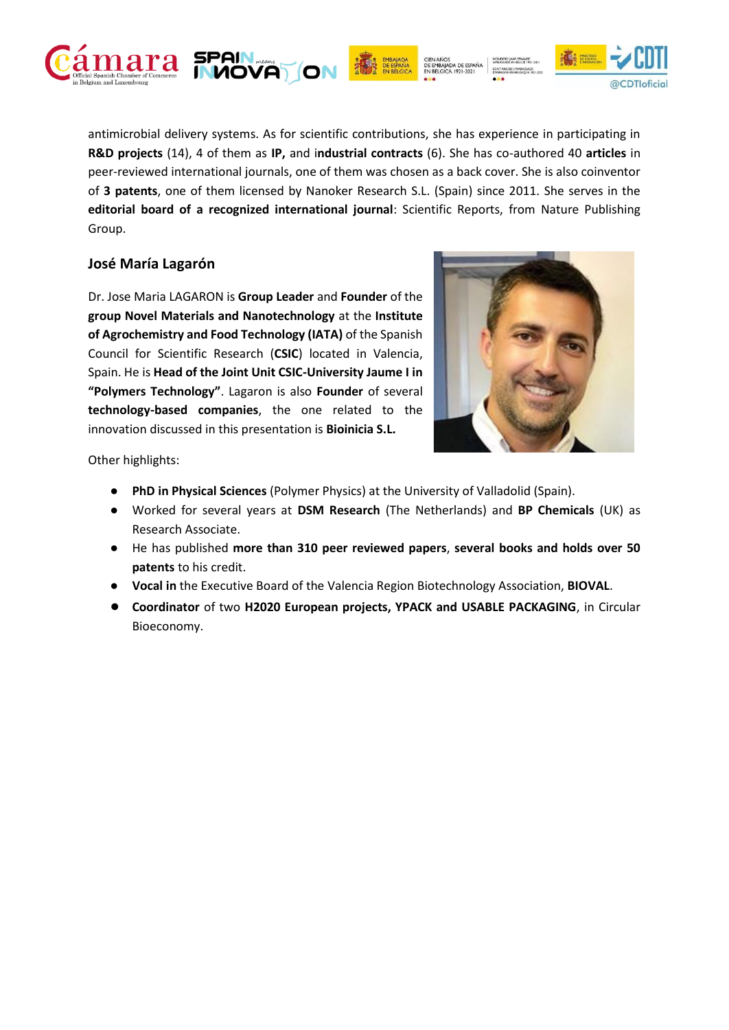

antimicrobial delivery systems. As for scientific contributions, she has experience in participating in **R&D projects** (14), 4 of them as **IP,** and i**ndustrial contracts** (6). She has co-authored 40 **articles** in peer-reviewed international journals, one of them was chosen as a back cover. She is also coinventor of **3 patents**, one of them licensed by Nanoker Research S.L. (Spain) since 2011. She serves in the **editorial board of a recognized international journal**: Scientific Reports, from Nature Publishing Group.

ON

CIEN AÑOS<br>DE EMBAJADA DE ESPAÑA<br>EN BÉLGICA 1921-2021

### **José María Lagarón**

Dr. Jose Maria LAGARON is **Group Leader** and **Founder** of the **group Novel Materials and Nanotechnology** at the **Institute of Agrochemistry and Food Technology (IATA)** of the Spanish Council for Scientific Research (**CSIC**) located in Valencia, Spain. He is **Head of the Joint Unit CSIC-University Jaume I in "Polymers Technology"**. Lagaron is also **Founder** of several **technology-based companies**, the one related to the innovation discussed in this presentation is **Bioinicia S.L.**



@CDTloficial

Other highlights:

- **PhD in Physical Sciences** (Polymer Physics) at the University of Valladolid (Spain).
- Worked for several years at **DSM Research** (The Netherlands) and **BP Chemicals** (UK) as Research Associate.
- He has published **more than 310 peer reviewed papers**, **several books and holds over 50 patents** to his credit.
- **Vocal in** the Executive Board of the Valencia Region Biotechnology Association, **BIOVAL**.
- **Coordinator** of two **H2020 European projects, YPACK and USABLE PACKAGING**, in Circular Bioeconomy.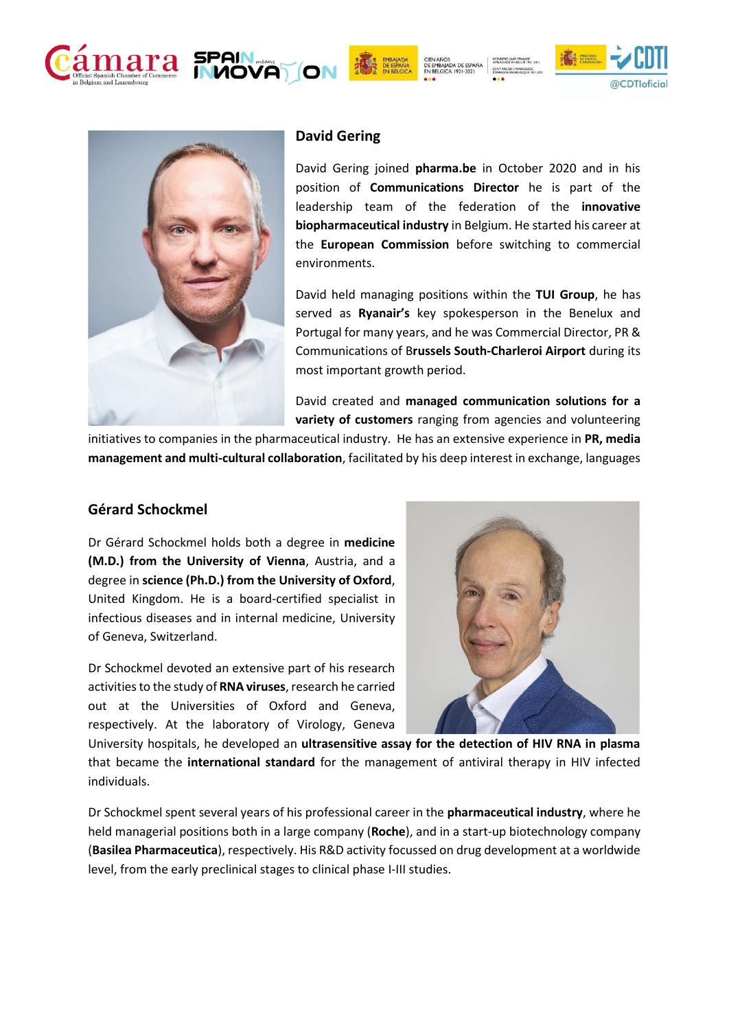

CIEN AÑOS<br>DE EMBAJADA DE ESPAÑA<br>EN BÉLGICA 1921-2021





#### **David Gering**

David Gering joined **pharma.be** in October 2020 and in his position of **Communications Director** he is part of the leadership team of the federation of the **innovative biopharmaceutical industry** in Belgium. He started his career at the **European Commission** before switching to commercial environments.

David held managing positions within the **TUI Group**, he has served as **Ryanair's** key spokesperson in the Benelux and Portugal for many years, and he was Commercial Director, PR & Communications of B**russels South-Charleroi Airport** during its most important growth period.

David created and **managed communication solutions for a variety of customers** ranging from agencies and volunteering

initiatives to companies in the pharmaceutical industry. He has an extensive experience in **PR, media management and multi-cultural collaboration**, facilitated by his deep interest in exchange, languages

### **Gérard Schockmel**

Dr Gérard Schockmel holds both a degree in **medicine (M.D.) from the University of Vienna**, Austria, and a degree in **science (Ph.D.) from the University of Oxford**, United Kingdom. He is a board-certified specialist in infectious diseases and in internal medicine, University of Geneva, Switzerland.

Dr Schockmel devoted an extensive part of his research activities to the study of **RNA viruses**, research he carried out at the Universities of Oxford and Geneva, respectively. At the laboratory of Virology, Geneva



University hospitals, he developed an **ultrasensitive assay for the detection of HIV RNA in plasma** that became the **international standard** for the management of antiviral therapy in HIV infected individuals.

Dr Schockmel spent several years of his professional career in the **pharmaceutical industry**, where he held managerial positions both in a large company (**Roche**), and in a start-up biotechnology company (**Basilea Pharmaceutica**), respectively. His R&D activity focussed on drug development at a worldwide level, from the early preclinical stages to clinical phase I-III studies.